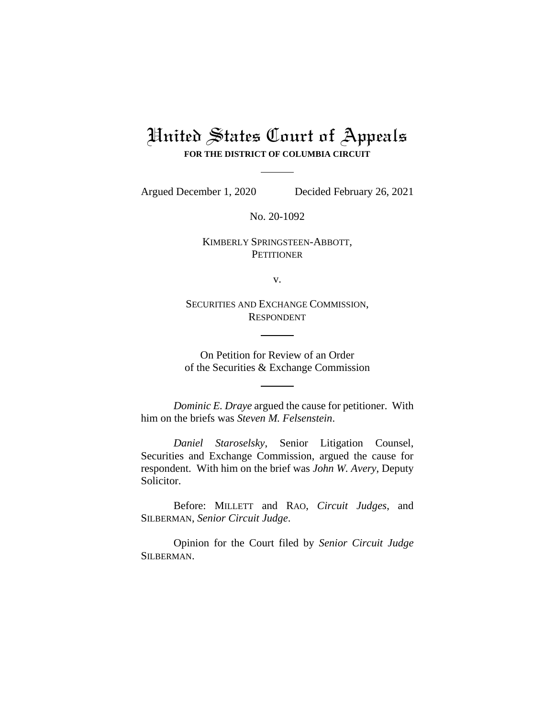## United States Court of Appeals **FOR THE DISTRICT OF COLUMBIA CIRCUIT**

Argued December 1, 2020 Decided February 26, 2021

No. 20-1092

KIMBERLY SPRINGSTEEN-ABBOTT, **PETITIONER** 

v.

SECURITIES AND EXCHANGE COMMISSION, RESPONDENT

On Petition for Review of an Order of the Securities & Exchange Commission

*Dominic E. Draye* argued the cause for petitioner. With him on the briefs was *Steven M. Felsenstein*.

*Daniel Staroselsky*, Senior Litigation Counsel, Securities and Exchange Commission, argued the cause for respondent. With him on the brief was *John W. Avery*, Deputy Solicitor.

Before: MILLETT and RAO, *Circuit Judges*, and SILBERMAN, *Senior Circuit Judge*.

Opinion for the Court filed by *Senior Circuit Judge*  SILBERMAN.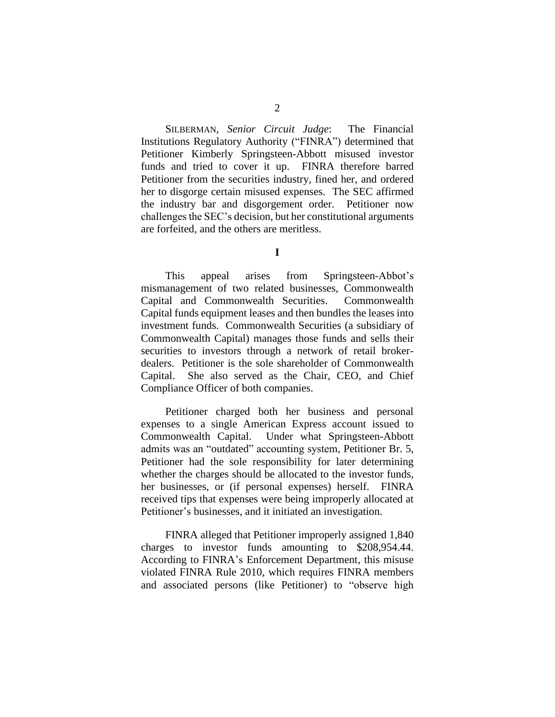SILBERMAN, *Senior Circuit Judge*: The Financial Institutions Regulatory Authority ("FINRA") determined that Petitioner Kimberly Springsteen-Abbott misused investor funds and tried to cover it up. FINRA therefore barred Petitioner from the securities industry, fined her, and ordered her to disgorge certain misused expenses. The SEC affirmed the industry bar and disgorgement order. Petitioner now challenges the SEC's decision, but her constitutional arguments are forfeited, and the others are meritless.

**I**

This appeal arises from Springsteen-Abbot's mismanagement of two related businesses, Commonwealth Capital and Commonwealth Securities. Commonwealth Capital funds equipment leases and then bundles the leases into investment funds. Commonwealth Securities (a subsidiary of Commonwealth Capital) manages those funds and sells their securities to investors through a network of retail brokerdealers. Petitioner is the sole shareholder of Commonwealth Capital. She also served as the Chair, CEO, and Chief Compliance Officer of both companies.

Petitioner charged both her business and personal expenses to a single American Express account issued to Commonwealth Capital. Under what Springsteen-Abbott admits was an "outdated" accounting system, Petitioner Br. 5, Petitioner had the sole responsibility for later determining whether the charges should be allocated to the investor funds, her businesses, or (if personal expenses) herself. FINRA received tips that expenses were being improperly allocated at Petitioner's businesses, and it initiated an investigation.

FINRA alleged that Petitioner improperly assigned 1,840 charges to investor funds amounting to \$208,954.44. According to FINRA's Enforcement Department, this misuse violated FINRA Rule 2010, which requires FINRA members and associated persons (like Petitioner) to "observe high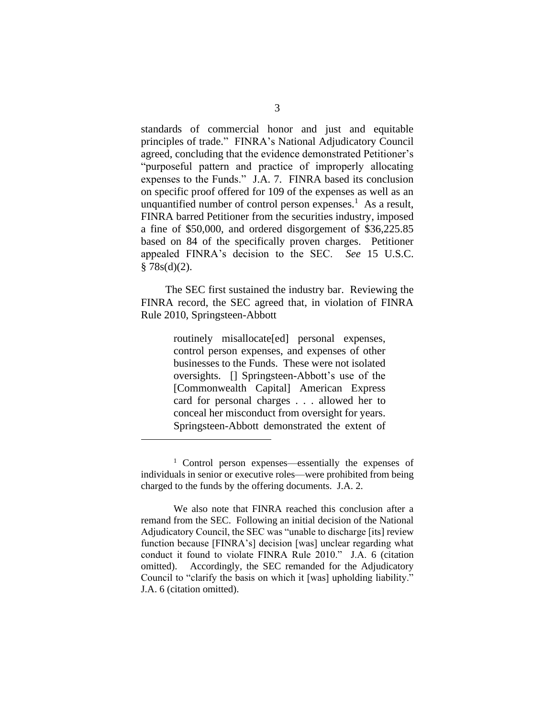standards of commercial honor and just and equitable principles of trade." FINRA's National Adjudicatory Council agreed, concluding that the evidence demonstrated Petitioner's "purposeful pattern and practice of improperly allocating expenses to the Funds." J.A. 7. FINRA based its conclusion on specific proof offered for 109 of the expenses as well as an unquantified number of control person expenses.<sup>1</sup> As a result, FINRA barred Petitioner from the securities industry, imposed a fine of \$50,000, and ordered disgorgement of \$36,225.85 based on 84 of the specifically proven charges. Petitioner appealed FINRA's decision to the SEC. *See* 15 U.S.C.  $§ 78s(d)(2).$ 

The SEC first sustained the industry bar. Reviewing the FINRA record, the SEC agreed that, in violation of FINRA Rule 2010, Springsteen-Abbott

> routinely misallocate[ed] personal expenses, control person expenses, and expenses of other businesses to the Funds. These were not isolated oversights. [] Springsteen-Abbott's use of the [Commonwealth Capital] American Express card for personal charges . . . allowed her to conceal her misconduct from oversight for years. Springsteen-Abbott demonstrated the extent of

<sup>1</sup> Control person expenses—essentially the expenses of individuals in senior or executive roles—were prohibited from being charged to the funds by the offering documents. J.A. 2.

We also note that FINRA reached this conclusion after a remand from the SEC. Following an initial decision of the National Adjudicatory Council, the SEC was "unable to discharge [its] review function because [FINRA's] decision [was] unclear regarding what conduct it found to violate FINRA Rule 2010." J.A. 6 (citation omitted). Accordingly, the SEC remanded for the Adjudicatory Council to "clarify the basis on which it [was] upholding liability." J.A. 6 (citation omitted).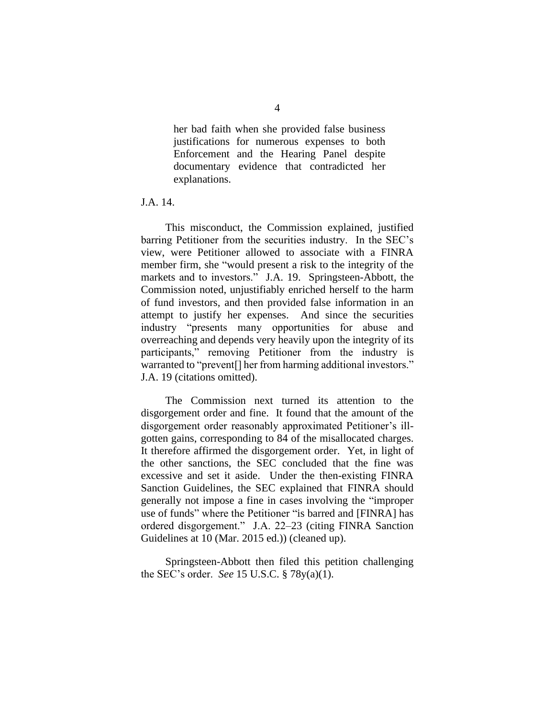her bad faith when she provided false business justifications for numerous expenses to both Enforcement and the Hearing Panel despite documentary evidence that contradicted her explanations.

J.A. 14.

This misconduct, the Commission explained, justified barring Petitioner from the securities industry. In the SEC's view, were Petitioner allowed to associate with a FINRA member firm, she "would present a risk to the integrity of the markets and to investors." J.A. 19. Springsteen-Abbott, the Commission noted, unjustifiably enriched herself to the harm of fund investors, and then provided false information in an attempt to justify her expenses. And since the securities industry "presents many opportunities for abuse and overreaching and depends very heavily upon the integrity of its participants," removing Petitioner from the industry is warranted to "prevent[] her from harming additional investors." J.A. 19 (citations omitted).

The Commission next turned its attention to the disgorgement order and fine. It found that the amount of the disgorgement order reasonably approximated Petitioner's illgotten gains, corresponding to 84 of the misallocated charges. It therefore affirmed the disgorgement order. Yet, in light of the other sanctions, the SEC concluded that the fine was excessive and set it aside. Under the then-existing FINRA Sanction Guidelines, the SEC explained that FINRA should generally not impose a fine in cases involving the "improper use of funds" where the Petitioner "is barred and [FINRA] has ordered disgorgement." J.A. 22–23 (citing FINRA Sanction Guidelines at 10 (Mar. 2015 ed.)) (cleaned up).

Springsteen-Abbott then filed this petition challenging the SEC's order. *See* 15 U.S.C. § 78y(a)(1).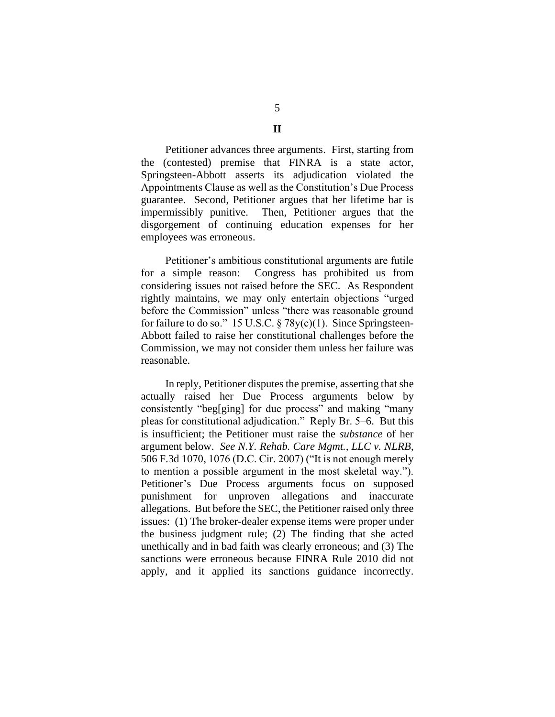Petitioner advances three arguments. First, starting from the (contested) premise that FINRA is a state actor, Springsteen-Abbott asserts its adjudication violated the Appointments Clause as well as the Constitution's Due Process guarantee. Second, Petitioner argues that her lifetime bar is impermissibly punitive. Then, Petitioner argues that the

disgorgement of continuing education expenses for her employees was erroneous. Petitioner's ambitious constitutional arguments are futile for a simple reason: Congress has prohibited us from considering issues not raised before the SEC. As Respondent rightly maintains, we may only entertain objections "urged before the Commission" unless "there was reasonable ground for failure to do so." 15 U.S.C.  $\S 78y(c)(1)$ . Since Springsteen-

Abbott failed to raise her constitutional challenges before the Commission, we may not consider them unless her failure was reasonable.

In reply, Petitioner disputes the premise, asserting that she actually raised her Due Process arguments below by consistently "beg[ging] for due process" and making "many pleas for constitutional adjudication." Reply Br. 5–6. But this is insufficient; the Petitioner must raise the *substance* of her argument below. *See N.Y. Rehab. Care Mgmt., LLC v. NLRB*, 506 F.3d 1070, 1076 (D.C. Cir. 2007) ("It is not enough merely to mention a possible argument in the most skeletal way."). Petitioner's Due Process arguments focus on supposed punishment for unproven allegations and inaccurate allegations. But before the SEC, the Petitioner raised only three issues: (1) The broker-dealer expense items were proper under the business judgment rule; (2) The finding that she acted unethically and in bad faith was clearly erroneous; and (3) The sanctions were erroneous because FINRA Rule 2010 did not apply, and it applied its sanctions guidance incorrectly.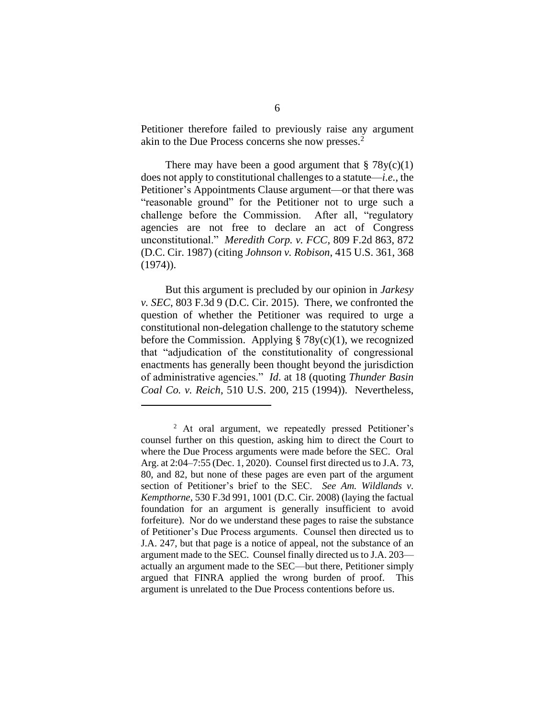Petitioner therefore failed to previously raise any argument akin to the Due Process concerns she now presses.<sup>2</sup>

There may have been a good argument that  $\S 78y(c)(1)$ does not apply to constitutional challenges to a statute—*i.e.*, the Petitioner's Appointments Clause argument—or that there was "reasonable ground" for the Petitioner not to urge such a challenge before the Commission. After all, "regulatory agencies are not free to declare an act of Congress unconstitutional." *Meredith Corp. v. FCC*, 809 F.2d 863, 872 (D.C. Cir. 1987) (citing *Johnson v. Robison*, 415 U.S. 361, 368  $(1974)$ .

But this argument is precluded by our opinion in *Jarkesy v. SEC*, 803 F.3d 9 (D.C. Cir. 2015). There, we confronted the question of whether the Petitioner was required to urge a constitutional non-delegation challenge to the statutory scheme before the Commission. Applying  $\S 78y(c)(1)$ , we recognized that "adjudication of the constitutionality of congressional enactments has generally been thought beyond the jurisdiction of administrative agencies." *Id*. at 18 (quoting *Thunder Basin Coal Co. v. Reich*, 510 U.S. 200, 215 (1994)). Nevertheless,

<sup>&</sup>lt;sup>2</sup> At oral argument, we repeatedly pressed Petitioner's counsel further on this question, asking him to direct the Court to where the Due Process arguments were made before the SEC. Oral Arg. at 2:04–7:55 (Dec. 1, 2020). Counsel first directed us to J.A. 73, 80, and 82, but none of these pages are even part of the argument section of Petitioner's brief to the SEC. *See Am. Wildlands v. Kempthorne*, 530 F.3d 991, 1001 (D.C. Cir. 2008) (laying the factual foundation for an argument is generally insufficient to avoid forfeiture). Nor do we understand these pages to raise the substance of Petitioner's Due Process arguments. Counsel then directed us to J.A. 247, but that page is a notice of appeal, not the substance of an argument made to the SEC. Counsel finally directed us to J.A. 203 actually an argument made to the SEC—but there, Petitioner simply argued that FINRA applied the wrong burden of proof. This argument is unrelated to the Due Process contentions before us.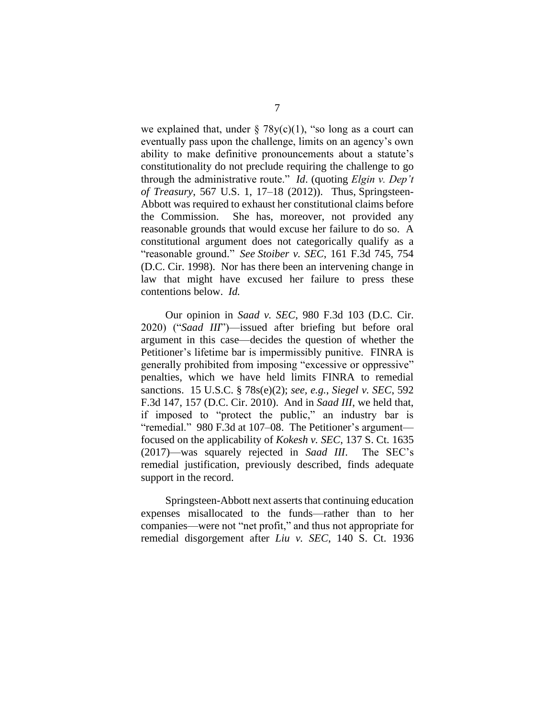we explained that, under  $\S 78y(c)(1)$ , "so long as a court can eventually pass upon the challenge, limits on an agency's own ability to make definitive pronouncements about a statute's constitutionality do not preclude requiring the challenge to go through the administrative route." *Id*. (quoting *Elgin v. Dep't of Treasury*, 567 U.S. 1, 17–18 (2012)). Thus, Springsteen-Abbott was required to exhaust her constitutional claims before the Commission. She has, moreover, not provided any reasonable grounds that would excuse her failure to do so. A constitutional argument does not categorically qualify as a "reasonable ground." *See Stoiber v. SEC*, 161 F.3d 745, 754 (D.C. Cir. 1998). Nor has there been an intervening change in law that might have excused her failure to press these contentions below. *Id.*

Our opinion in *Saad v. SEC*, 980 F.3d 103 (D.C. Cir. 2020) ("*Saad III*")—issued after briefing but before oral argument in this case—decides the question of whether the Petitioner's lifetime bar is impermissibly punitive. FINRA is generally prohibited from imposing "excessive or oppressive" penalties, which we have held limits FINRA to remedial sanctions. 15 U.S.C. § 78s(e)(2); *see, e.g.*, *Siegel v. SEC*, 592 F.3d 147, 157 (D.C. Cir. 2010). And in *Saad III*, we held that, if imposed to "protect the public," an industry bar is "remedial." 980 F.3d at 107–08. The Petitioner's argument focused on the applicability of *Kokesh v. SEC*, 137 S. Ct. 1635 (2017)—was squarely rejected in *Saad III*. The SEC's remedial justification, previously described, finds adequate support in the record.

Springsteen-Abbott next asserts that continuing education expenses misallocated to the funds—rather than to her companies—were not "net profit," and thus not appropriate for remedial disgorgement after *Liu v. SEC*, 140 S. Ct. 1936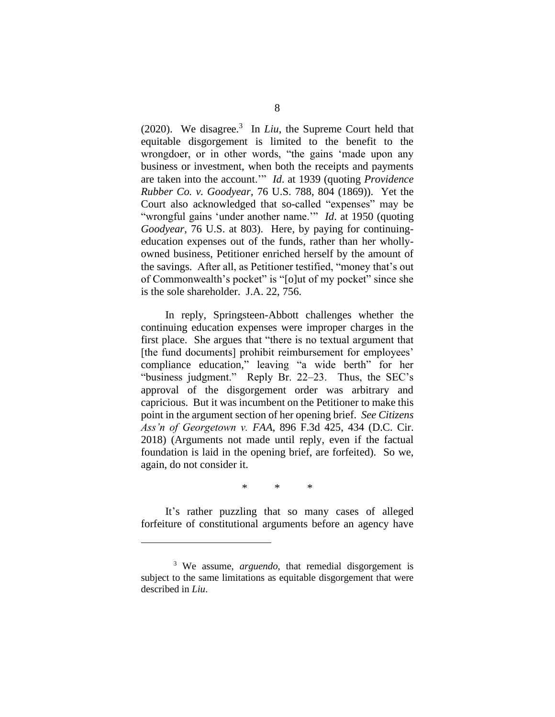(2020). We disagree.<sup>3</sup> In *Liu*, the Supreme Court held that equitable disgorgement is limited to the benefit to the wrongdoer, or in other words, "the gains 'made upon any business or investment, when both the receipts and payments are taken into the account.'" *Id*. at 1939 (quoting *Providence Rubber Co. v. Goodyear*, 76 U.S. 788, 804 (1869)). Yet the Court also acknowledged that so-called "expenses" may be "wrongful gains 'under another name.'" *Id*. at 1950 (quoting *Goodyear*, 76 U.S. at 803). Here, by paying for continuingeducation expenses out of the funds, rather than her whollyowned business, Petitioner enriched herself by the amount of the savings. After all, as Petitioner testified, "money that's out of Commonwealth's pocket" is "[o]ut of my pocket" since she is the sole shareholder. J.A. 22, 756.

In reply, Springsteen-Abbott challenges whether the continuing education expenses were improper charges in the first place. She argues that "there is no textual argument that [the fund documents] prohibit reimbursement for employees' compliance education," leaving "a wide berth" for her "business judgment." Reply Br. 22–23. Thus, the SEC's approval of the disgorgement order was arbitrary and capricious. But it was incumbent on the Petitioner to make this point in the argument section of her opening brief. *See Citizens Ass'n of Georgetown v. FAA*, 896 F.3d 425, 434 (D.C. Cir. 2018) (Arguments not made until reply, even if the factual foundation is laid in the opening brief, are forfeited). So we, again, do not consider it.

\* \* \*

It's rather puzzling that so many cases of alleged forfeiture of constitutional arguments before an agency have

<sup>3</sup> We assume, *arguendo*, that remedial disgorgement is subject to the same limitations as equitable disgorgement that were described in *Liu*.